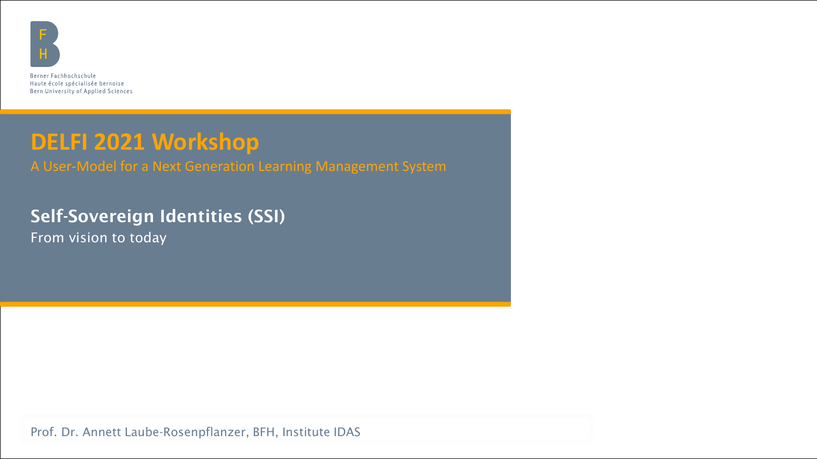

Berner Fachhochschule Haute école spécialisée bernoise Bern University of Applied Sciences

#### **DELFI 2021 Workshop**

A User-Model for a Next Generation Learning Management System

#### Self-Sovereign Identities (SSI)

From vision to today

Prof. Dr. Annett Laube-Rosenpflanzer, BFH, Institute IDAS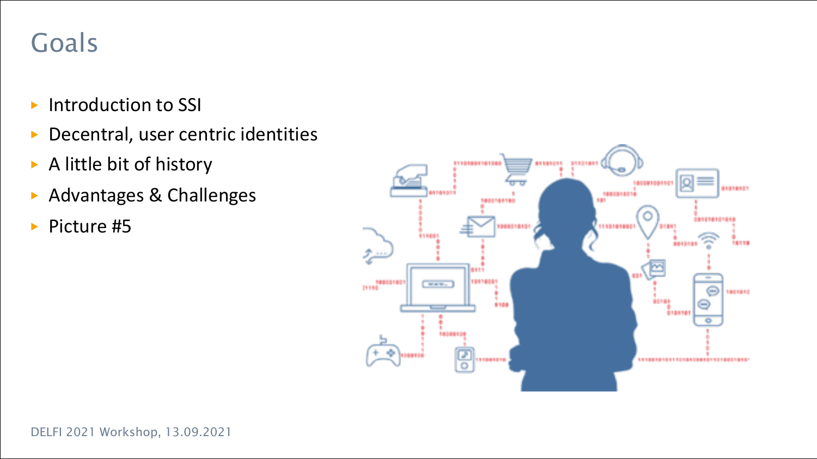#### Goals

- ▶ Introduction to SSI
- ▶ Decentral, user centric identities
- ▶ A little bit of history
- ▶ Advantages & Challenges
- ▶ Picture #5

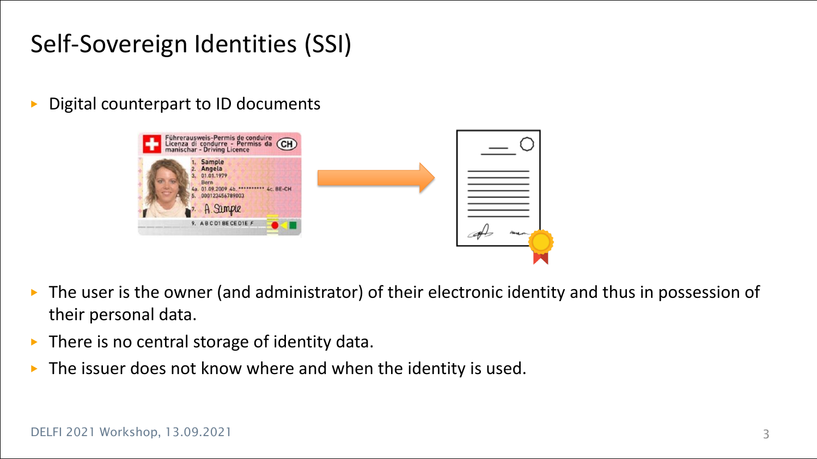#### Self-Sovereign Identities (SSI)

Digital counterpart to ID documents



- ▶ The user is the owner (and administrator) of their electronic identity and thus in possession of their personal data.
- $\triangleright$  There is no central storage of identity data.
- The issuer does not know where and when the identity is used.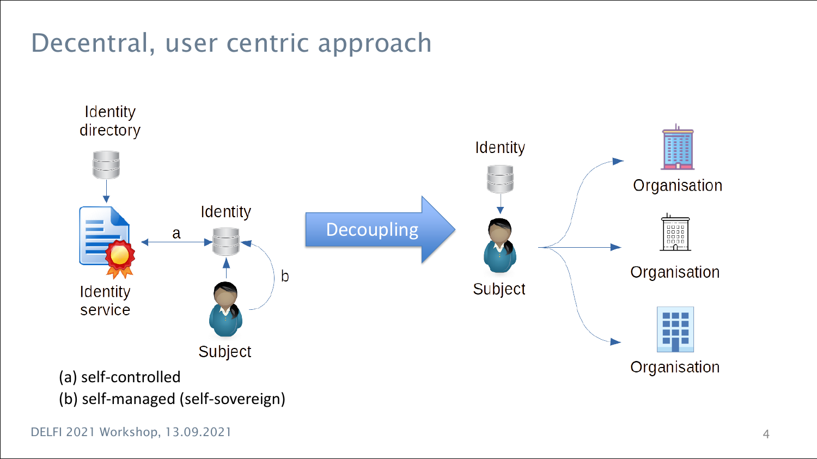## Decentral, user centric approach

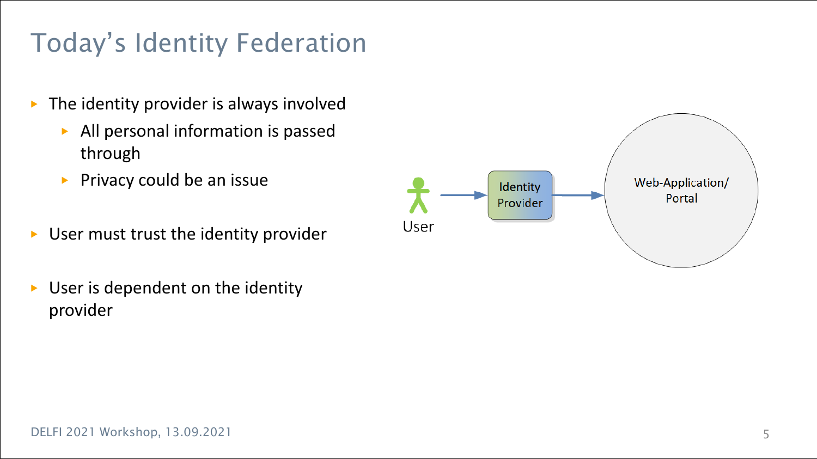# Today's Identity Federation

- $\blacktriangleright$  The identity provider is always involved
	- ▶ All personal information is passed through
	- ▶ Privacy could be an issue
- ▶ User must trust the identity provider
- ▶ User is dependent on the identity provider

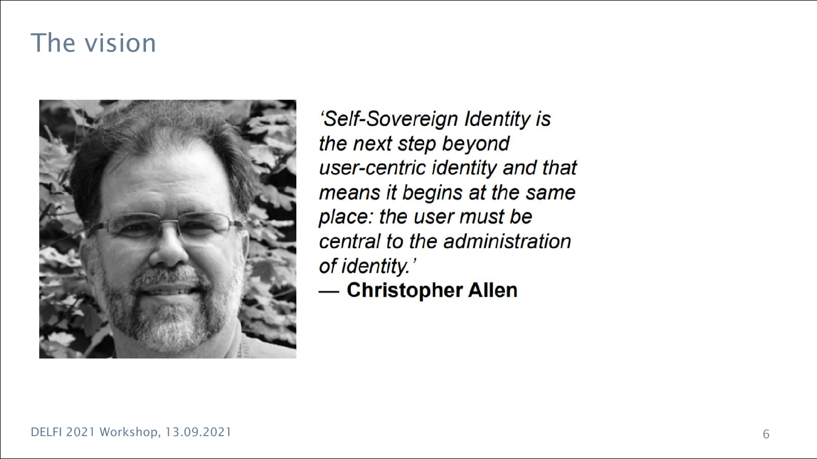#### The vision



'Self-Sovereign Identity is the next step beyond user-centric identity and that means it begins at the same place: the user must be central to the administration of identity.'

- Christopher Allen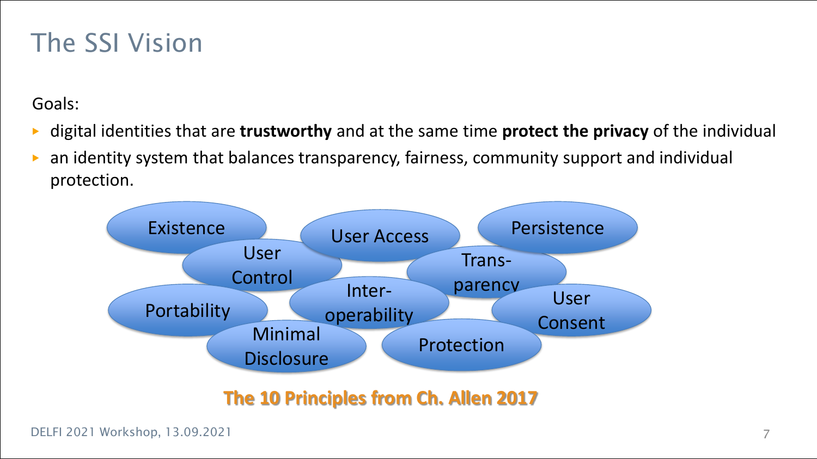#### The SSI Vision

Goals:

- ▶ digital identities that are **trustworthy** and at the same time **protect the privacy** of the individual
- an identity system that balances transparency, fairness, community support and individual protection.



**The 10 Principles from Ch. Allen 2017**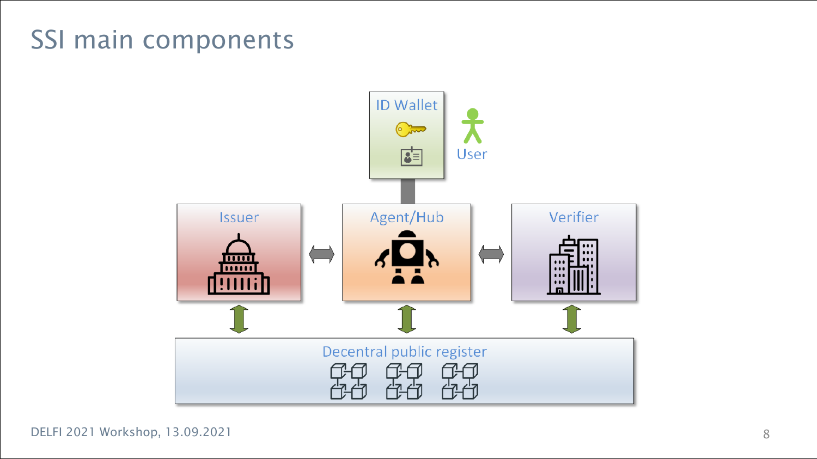#### SSI main components

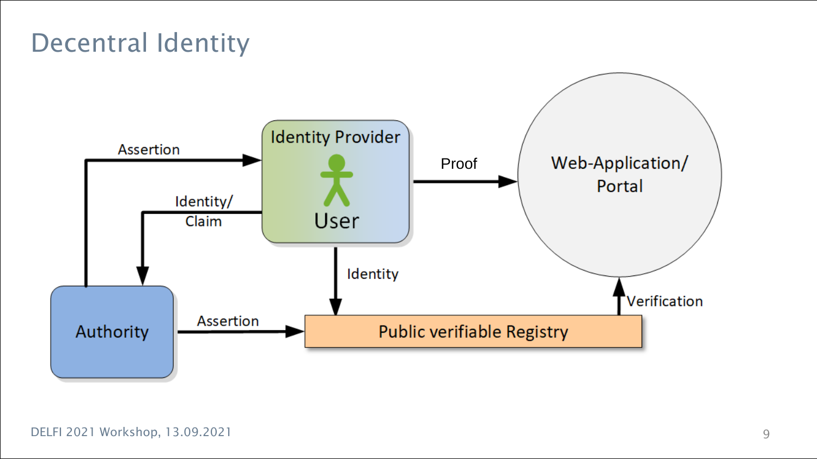### Decentral Identity

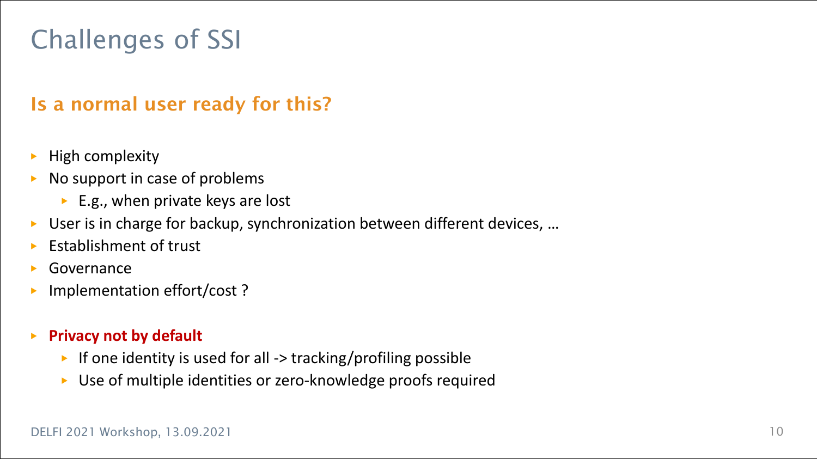## Challenges of SSI

#### Is a normal user ready for this?

- **High complexity**
- No support in case of problems
	- $\blacktriangleright$  E.g., when private keys are lost
- ▶ User is in charge for backup, synchronization between different devices, ...
- **Establishment of trust**
- **Governance**
- Implementation effort/cost ?
- ▶ **Privacy not by default** 
	- ▶ If one identity is used for all -> tracking/profiling possible
	- ▶ Use of multiple identities or zero-knowledge proofs required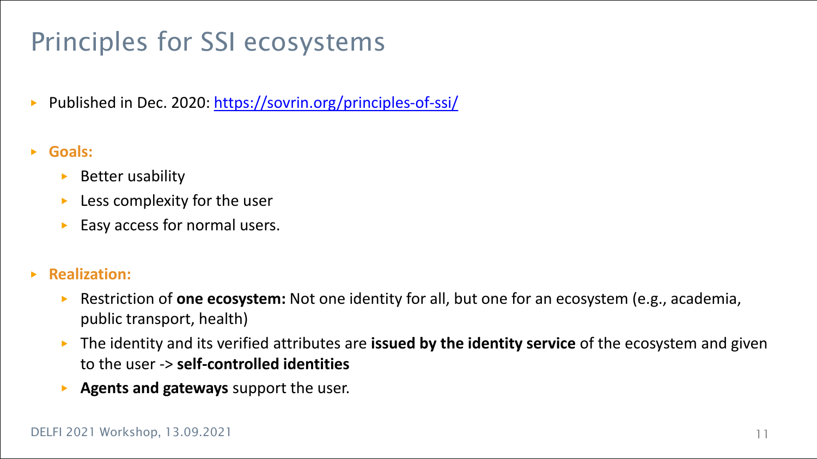## Principles for SSI ecosystems

- ▶ Published in Dec. 2020: <https://sovrin.org/principles-of-ssi/>
- ▶ **Goals:**
	- ▶ Better usability
	- $\blacktriangleright$  Less complexity for the user
	- $\triangleright$  Easy access for normal users.
- ▶ **Realization:**
	- ▶ Restriction of **one ecosystem:** Not one identity for all, but one for an ecosystem (e.g., academia, public transport, health)
	- ▶ The identity and its verified attributes are **issued by the identity service** of the ecosystem and given to the user -> **self-controlled identities**
	- ▶ **Agents and gateways** support the user.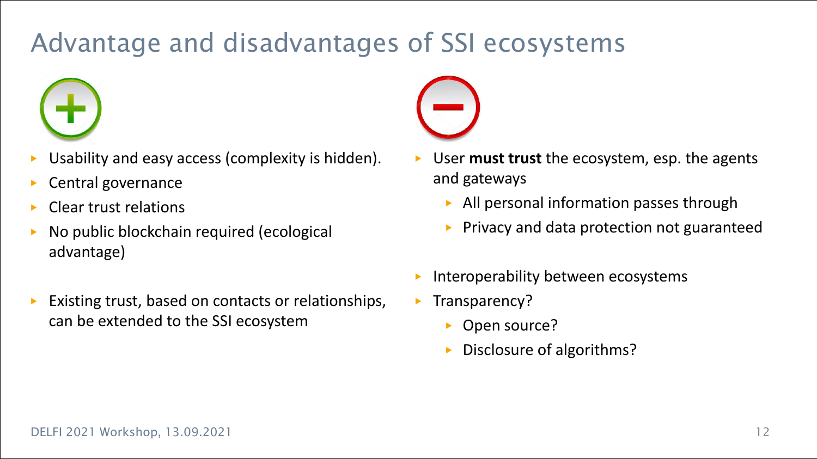## Advantage and disadvantages of SSI ecosystems



- Usability and easy access (complexity is hidden).
- Central governance
- **Clear trust relations**
- No public blockchain required (ecological advantage)
- Existing trust, based on contacts or relationships, can be extended to the SSI ecosystem



- User **must trust** the ecosystem, esp. the agents and gateways
	- ▶ All personal information passes through
	- ▶ Privacy and data protection not guaranteed
- Interoperability between ecosystems
- **•** Transparency?
	- Open source?
	- Disclosure of algorithms?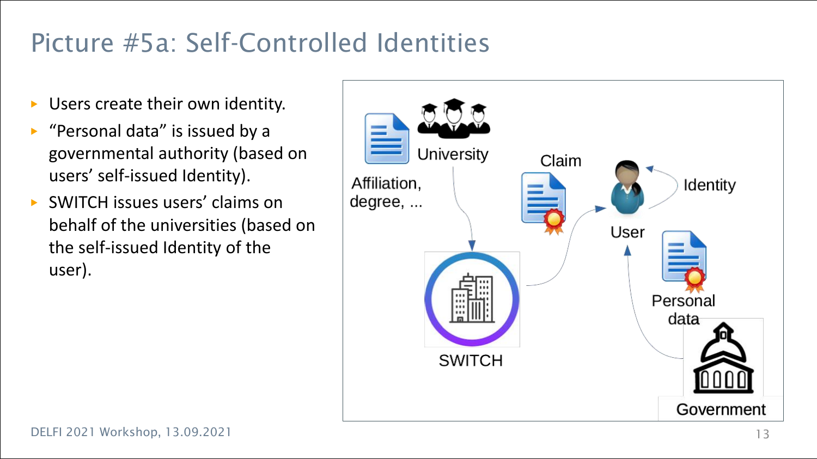### Picture #5a: Self-Controlled Identities

- Users create their own identity.
- ▶ "Personal data" is issued by a governmental authority (based on users' self-issued Identity).
- ▶ SWITCH issues users' claims on behalf of the universities (based on the self-issued Identity of the user).

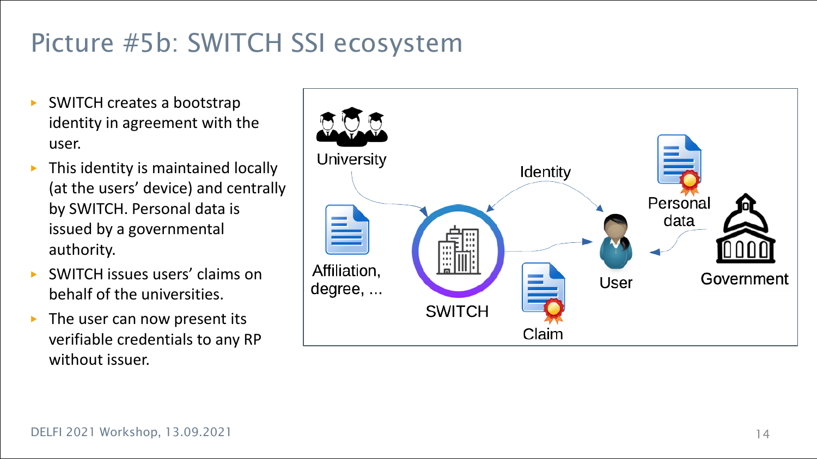# Picture #5b: SWITCH SSI ecosystem

- **SWITCH creates a bootstrap** identity in agreement with the user.
- This identity is maintained locally (at the users' device) and centrally by SWITCH. Personal data is issued by a governmental authority.
- SWITCH issues users' claims on behalf of the universities.
- $\triangleright$  The user can now present its verifiable credentials to any RP without issuer.

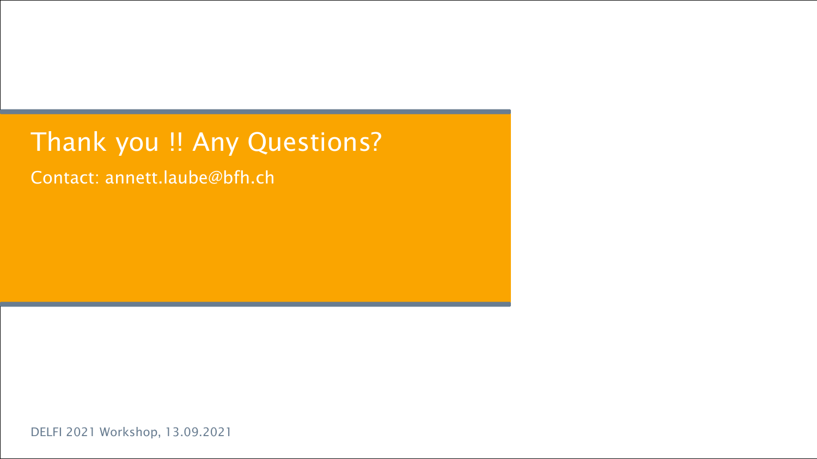#### Thank you !! Any Questions?

Contact: annett.laube@bfh.ch

DELFI 2021 Workshop, 13.09.2021